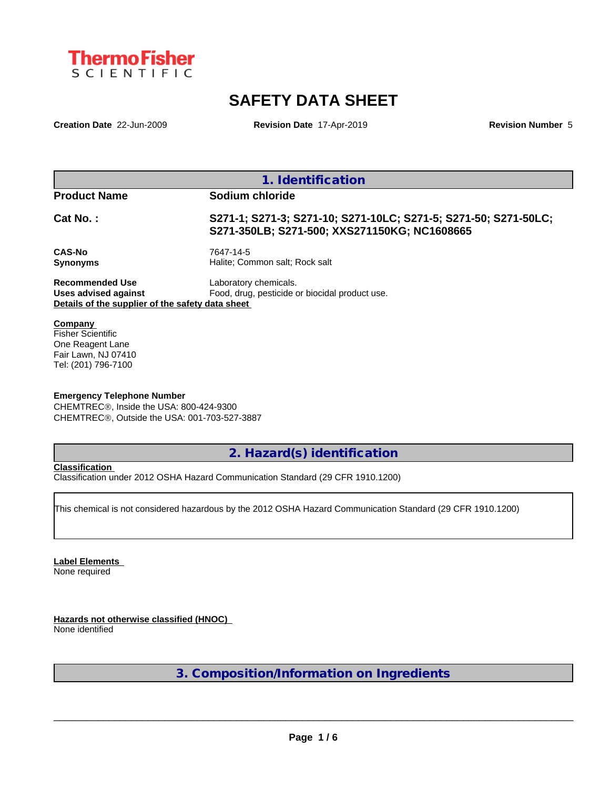

# **SAFETY DATA SHEET**

**Creation Date** 22-Jun-2009 **Revision Date** 17-Apr-2019 **Revision Number** 5

|                                                                                                    | 1. Identification                                                                                               |
|----------------------------------------------------------------------------------------------------|-----------------------------------------------------------------------------------------------------------------|
| <b>Product Name</b>                                                                                | Sodium chloride                                                                                                 |
| Cat No.:                                                                                           | S271-1; S271-3; S271-10; S271-10LC; S271-5; S271-50; S271-50LC;<br>S271-350LB; S271-500; XXS271150KG; NC1608665 |
| <b>CAS-No</b><br><b>Synonyms</b>                                                                   | 7647-14-5<br>Halite: Common salt: Rock salt                                                                     |
| <b>Recommended Use</b><br>Uses advised against<br>Details of the supplier of the safety data sheet | Laboratory chemicals.<br>Food, drug, pesticide or biocidal product use.                                         |

Fisher Scientific One Reagent Lane Fair Lawn, NJ 07410 Tel: (201) 796-7100

### **Emergency Telephone Number**

CHEMTREC®, Inside the USA: 800-424-9300 CHEMTRECÒ, Outside the USA: 001-703-527-3887

**2. Hazard(s) identification**

### **Classification**

Classification under 2012 OSHA Hazard Communication Standard (29 CFR 1910.1200)

This chemical is not considered hazardous by the 2012 OSHA Hazard Communication Standard (29 CFR 1910.1200)

**Label Elements** None required

**Hazards not otherwise classified (HNOC)** None identified

**3. Composition/Information on Ingredients**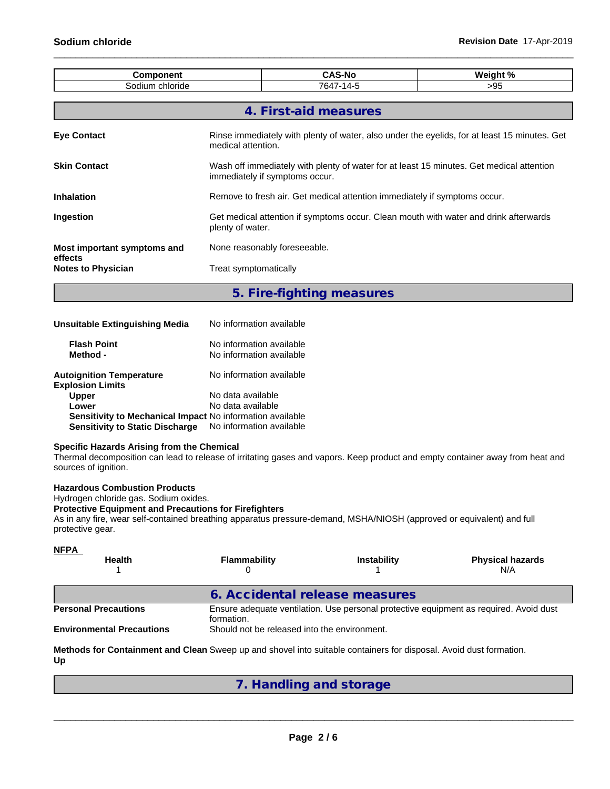| <b>Component</b>                     |                                                                                                                            | <b>CAS-No</b>                                                                                | Weight % |  |  |  |  |  |
|--------------------------------------|----------------------------------------------------------------------------------------------------------------------------|----------------------------------------------------------------------------------------------|----------|--|--|--|--|--|
| Sodium chloride<br>7647-14-5<br>>95  |                                                                                                                            |                                                                                              |          |  |  |  |  |  |
|                                      |                                                                                                                            |                                                                                              |          |  |  |  |  |  |
|                                      |                                                                                                                            | 4. First-aid measures                                                                        |          |  |  |  |  |  |
| <b>Eye Contact</b>                   | medical attention.                                                                                                         | Rinse immediately with plenty of water, also under the eyelids, for at least 15 minutes. Get |          |  |  |  |  |  |
| <b>Skin Contact</b>                  | Wash off immediately with plenty of water for at least 15 minutes. Get medical attention<br>immediately if symptoms occur. |                                                                                              |          |  |  |  |  |  |
| Inhalation                           | Remove to fresh air. Get medical attention immediately if symptoms occur.                                                  |                                                                                              |          |  |  |  |  |  |
| Ingestion                            | Get medical attention if symptoms occur. Clean mouth with water and drink afterwards<br>plenty of water.                   |                                                                                              |          |  |  |  |  |  |
| Most important symptoms and          | None reasonably foreseeable.                                                                                               |                                                                                              |          |  |  |  |  |  |
| effects<br><b>Notes to Physician</b> | Treat symptomatically                                                                                                      |                                                                                              |          |  |  |  |  |  |

### **5. Fire-fighting measures**

| Unsuitable Extinguishing Media                             | No information available                             |  |
|------------------------------------------------------------|------------------------------------------------------|--|
| <b>Flash Point</b><br>Method -                             | No information available<br>No information available |  |
| <b>Autoignition Temperature</b><br><b>Explosion Limits</b> | No information available                             |  |
| <b>Upper</b>                                               | No data available                                    |  |
| Lower                                                      | No data available                                    |  |
| Sensitivity to Mechanical Impact No information available  |                                                      |  |
| <b>Sensitivity to Static Discharge</b>                     | No information available                             |  |

#### **Specific Hazards Arising from the Chemical**

Thermal decomposition can lead to release of irritating gases and vapors. Keep product and empty container away from heat and sources of ignition.

### **Hazardous Combustion Products**

Hydrogen chloride gas. Sodium oxides.

### **Protective Equipment and Precautions for Firefighters**

As in any fire, wear self-contained breathing apparatus pressure-demand, MSHA/NIOSH (approved or equivalent) and full protective gear.

| <u>NFPA</u><br><b>Health</b>     | Flammability                                 | Instability                    | <b>Physical hazards</b><br>N/A                                                         |
|----------------------------------|----------------------------------------------|--------------------------------|----------------------------------------------------------------------------------------|
|                                  |                                              | 6. Accidental release measures |                                                                                        |
| <b>Personal Precautions</b>      | formation.                                   |                                | Ensure adequate ventilation. Use personal protective equipment as required. Avoid dust |
| <b>Environmental Precautions</b> | Should not be released into the environment. |                                |                                                                                        |

**Methods for Containment and Clean** Sweep up and shovel into suitable containers for disposal. Avoid dust formation. **Up**

**7. Handling and storage**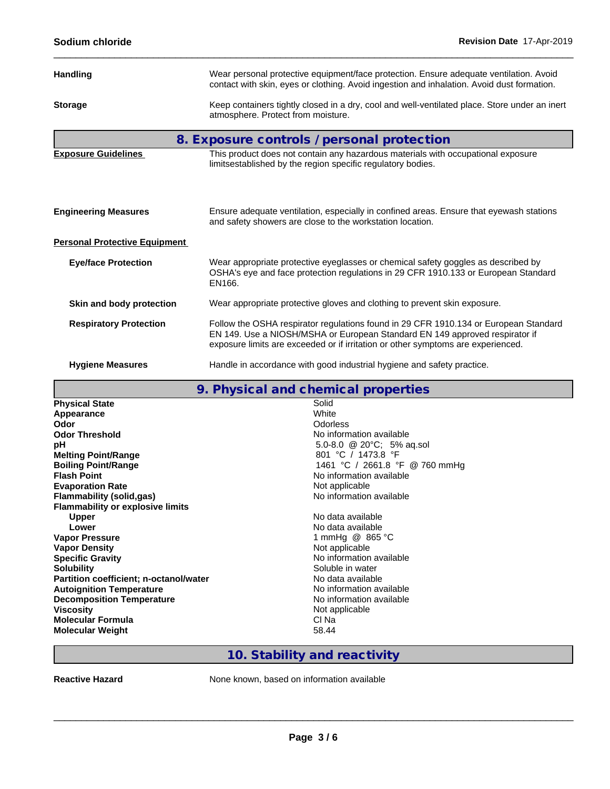| Sodium chloride                                                                                                                                                                                                     | Revision Date 17-Apr-2019                                                                                                                                                                                                                               |
|---------------------------------------------------------------------------------------------------------------------------------------------------------------------------------------------------------------------|---------------------------------------------------------------------------------------------------------------------------------------------------------------------------------------------------------------------------------------------------------|
| <b>Handling</b>                                                                                                                                                                                                     | Wear personal protective equipment/face protection. Ensure adequate ventilation. Avoid<br>contact with skin, eyes or clothing. Avoid ingestion and inhalation. Avoid dust formation.                                                                    |
| <b>Storage</b>                                                                                                                                                                                                      | Keep containers tightly closed in a dry, cool and well-ventilated place. Store under an inert<br>atmosphere. Protect from moisture.                                                                                                                     |
|                                                                                                                                                                                                                     | 8. Exposure controls / personal protection                                                                                                                                                                                                              |
| <b>Exposure Guidelines</b>                                                                                                                                                                                          | This product does not contain any hazardous materials with occupational exposure<br>limitsestablished by the region specific regulatory bodies.                                                                                                         |
| <b>Engineering Measures</b>                                                                                                                                                                                         | Ensure adequate ventilation, especially in confined areas. Ensure that eyewash stations<br>and safety showers are close to the workstation location.                                                                                                    |
| <b>Personal Protective Equipment</b>                                                                                                                                                                                |                                                                                                                                                                                                                                                         |
| <b>Eye/face Protection</b>                                                                                                                                                                                          | Wear appropriate protective eyeglasses or chemical safety goggles as described by<br>OSHA's eye and face protection regulations in 29 CFR 1910.133 or European Standard<br>EN166.                                                                       |
| Skin and body protection                                                                                                                                                                                            | Wear appropriate protective gloves and clothing to prevent skin exposure.                                                                                                                                                                               |
| <b>Respiratory Protection</b>                                                                                                                                                                                       | Follow the OSHA respirator regulations found in 29 CFR 1910.134 or European Standard<br>EN 149. Use a NIOSH/MSHA or European Standard EN 149 approved respirator if<br>exposure limits are exceeded or if irritation or other symptoms are experienced. |
| <b>Hygiene Measures</b>                                                                                                                                                                                             | Handle in accordance with good industrial hygiene and safety practice.                                                                                                                                                                                  |
|                                                                                                                                                                                                                     | 9. Physical and chemical properties                                                                                                                                                                                                                     |
| <b>Physical State</b><br>Appearance<br>Odor<br><b>Odor Threshold</b><br>рH<br><b>Melting Point/Range</b><br><b>Boiling Point/Range</b><br><b>Flash Point</b><br><b>Evaporation Rate</b><br>Flammability (solid.gas) | Solid<br>White<br><b>Odorless</b><br>No information available<br>5.0-8.0 @ 20°C; 5% aq.sol<br>801 °C / 1473.8 °F<br>1461 °C / 2661.8 °F @ 760 mmHg<br>No information available<br>Not applicable<br>No information available                            |

**Partition coefficient; n-octanol/water** No data available<br> **Autoignition Temperature No information available Autoignition Temperature**<br> **Decomposition Temperature Composition Temperature**<br> **No** information available **Decomposition Temperature Viscosity** Not applicable **Molecular Formula** Cl Na **Molecular Weight** 

**Vapor Density<br>Specific Gravity** 

**Flammability** (solid,gas)

**Flammability or explosive limits**

**10. Stability and reactivity**

1 mmHg @ 865 °C<br>Not applicable

**Specific Gravity** No information available

 $\_$  ,  $\_$  ,  $\_$  ,  $\_$  ,  $\_$  ,  $\_$  ,  $\_$  ,  $\_$  ,  $\_$  ,  $\_$  ,  $\_$  ,  $\_$  ,  $\_$  ,  $\_$  ,  $\_$  ,  $\_$  ,  $\_$  ,  $\_$  ,  $\_$  ,  $\_$  ,  $\_$  ,  $\_$  ,  $\_$  ,  $\_$  ,  $\_$  ,  $\_$  ,  $\_$  ,  $\_$  ,  $\_$  ,  $\_$  ,  $\_$  ,  $\_$  ,  $\_$  ,  $\_$  ,  $\_$  ,  $\_$  ,  $\_$  ,

**Reactive Hazard None known, based on information available** 

**Upper** No data available<br> **Lower** No data available<br> **Lower Lower**<br>
Vapor Pressure<br>
Vapor Pressure<br>
1 mmHg @ 865

**Solubility** Soluble in water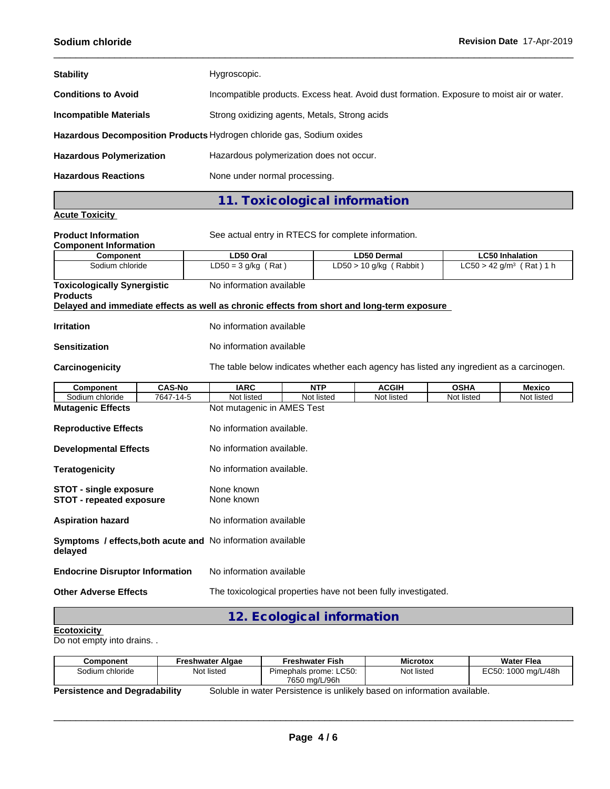| <b>Stability</b>                | Hygroscopic.                                                                              |
|---------------------------------|-------------------------------------------------------------------------------------------|
| <b>Conditions to Avoid</b>      | Incompatible products. Excess heat. Avoid dust formation. Exposure to moist air or water. |
| <b>Incompatible Materials</b>   | Strong oxidizing agents, Metals, Strong acids                                             |
|                                 | Hazardous Decomposition Products Hydrogen chloride gas, Sodium oxides                     |
| <b>Hazardous Polymerization</b> | Hazardous polymerization does not occur.                                                  |
| <b>Hazardous Reactions</b>      | None under normal processing.                                                             |

# **11. Toxicological information**

### **Acute Toxicity**

| <b>Product Information</b>                                       |               | See actual entry in RTECS for complete information.         |            |                                                                                            |             |                        |  |  |  |
|------------------------------------------------------------------|---------------|-------------------------------------------------------------|------------|--------------------------------------------------------------------------------------------|-------------|------------------------|--|--|--|
| <b>Component Information</b>                                     |               |                                                             |            |                                                                                            |             |                        |  |  |  |
| <b>Component</b>                                                 |               | LD50 Oral                                                   |            | <b>LD50 Dermal</b><br>$LD50 > 10$ g/kg (Rabbit)                                            |             | <b>LC50 Inhalation</b> |  |  |  |
| Sodium chloride                                                  |               | $LD50 = 3 g/kg (Rat)$                                       |            | $LC50 > 42$ g/m <sup>3</sup> (Rat) 1 h                                                     |             |                        |  |  |  |
| <b>Toxicologically Synergistic</b><br><b>Products</b>            |               | No information available                                    |            |                                                                                            |             |                        |  |  |  |
|                                                                  |               |                                                             |            | Delayed and immediate effects as well as chronic effects from short and long-term exposure |             |                        |  |  |  |
| <b>Irritation</b><br>No information available                    |               |                                                             |            |                                                                                            |             |                        |  |  |  |
| <b>Sensitization</b>                                             |               | No information available                                    |            |                                                                                            |             |                        |  |  |  |
| Carcinogenicity                                                  |               |                                                             |            | The table below indicates whether each agency has listed any ingredient as a carcinogen.   |             |                        |  |  |  |
| Component                                                        | <b>CAS-No</b> | <b>IARC</b>                                                 | <b>NTP</b> | <b>ACGIH</b>                                                                               | <b>OSHA</b> | <b>Mexico</b>          |  |  |  |
| Sodium chloride                                                  | 7647-14-5     | Not listed                                                  | Not listed | Not listed                                                                                 | Not listed  | Not listed             |  |  |  |
| <b>Mutagenic Effects</b>                                         |               | Not mutagenic in AMES Test                                  |            |                                                                                            |             |                        |  |  |  |
| <b>Reproductive Effects</b>                                      |               | No information available.                                   |            |                                                                                            |             |                        |  |  |  |
| <b>Developmental Effects</b>                                     |               | No information available.                                   |            |                                                                                            |             |                        |  |  |  |
| <b>Teratogenicity</b>                                            |               | No information available.                                   |            |                                                                                            |             |                        |  |  |  |
| <b>STOT - single exposure</b><br><b>STOT - repeated exposure</b> |               | None known<br>None known                                    |            |                                                                                            |             |                        |  |  |  |
| <b>Aspiration hazard</b>                                         |               | No information available                                    |            |                                                                                            |             |                        |  |  |  |
| delayed                                                          |               | Symptoms / effects, both acute and No information available |            |                                                                                            |             |                        |  |  |  |
| <b>Endocrine Disruptor Information</b>                           |               | No information available                                    |            |                                                                                            |             |                        |  |  |  |
| <b>Other Adverse Effects</b>                                     |               |                                                             |            | The toxicological properties have not been fully investigated.                             |             |                        |  |  |  |
|                                                                  |               |                                                             |            |                                                                                            |             |                        |  |  |  |

## **12. Ecological information**

### **Ecotoxicity**

Do not empty into drains. .

| Component                            | Freshwater Algae | <b>Freshwater Fish</b>                                                   | <b>Microtox</b> | <b>Water Flea</b>   |
|--------------------------------------|------------------|--------------------------------------------------------------------------|-----------------|---------------------|
| Sodium chloride                      | Not listed       | Pimephals prome: LC50:<br>7650 ma/L/96h                                  | Not listed      | EC50: 1000 mg/L/48h |
| <b>Persistence and Degradability</b> |                  | Soluble in water Persistence is unlikely based on information available. |                 |                     |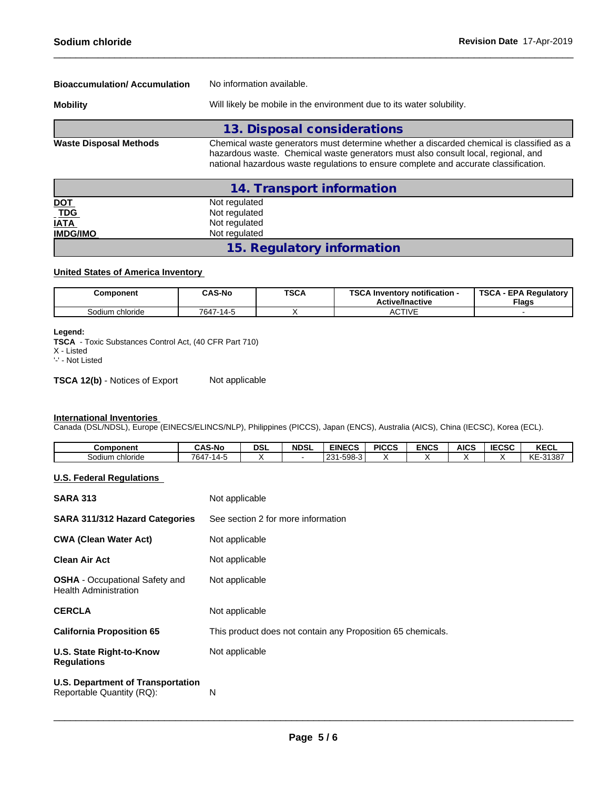| <b>Bioaccumulation/Accumulation</b> | No information available.                                                                                                                                                                                                                                             |  |  |  |  |  |  |
|-------------------------------------|-----------------------------------------------------------------------------------------------------------------------------------------------------------------------------------------------------------------------------------------------------------------------|--|--|--|--|--|--|
| <b>Mobility</b>                     | Will likely be mobile in the environment due to its water solubility.                                                                                                                                                                                                 |  |  |  |  |  |  |
|                                     | 13. Disposal considerations                                                                                                                                                                                                                                           |  |  |  |  |  |  |
| <b>Waste Disposal Methods</b>       | Chemical waste generators must determine whether a discarded chemical is classified as a<br>hazardous waste. Chemical waste generators must also consult local, regional, and<br>national hazardous waste regulations to ensure complete and accurate classification. |  |  |  |  |  |  |
|                                     | 14. Transport information                                                                                                                                                                                                                                             |  |  |  |  |  |  |

|                   | Not regulated              |  |
|-------------------|----------------------------|--|
| <u>DOT</u><br>TDG | Not regulated              |  |
| <b>IATA</b>       | Not regulated              |  |
| <b>IMDG/IMO</b>   | Not regulated              |  |
|                   | 15. Regulatory information |  |

### **United States of America Inventory**

| Component       | <b>CAS-No</b> | <b>TSCA</b> | TCO AL<br><b>∖ Inventorv notification -</b><br>שפ<br><b>Active/Inactive</b> | <b>TSCA - EPA Requiatory</b><br><b>Flags</b> |
|-----------------|---------------|-------------|-----------------------------------------------------------------------------|----------------------------------------------|
| Sodium chloride | 7647-14-5     |             | <b>ACTIVE</b>                                                               |                                              |

### **Legend:**

**TSCA** - Toxic Substances Control Act, (40 CFR Part 710)

X - Listed

'-' - Not Listed

**TSCA 12(b)** - Notices of Export Not applicable

### **International Inventories**

Canada (DSL/NDSL), Europe (EINECS/ELINCS/NLP), Philippines (PICCS), Japan (ENCS), Australia (AICS), China (IECSC), Korea (ECL).

| Component          | <b>CAS-No</b>         | <b>DSL</b> | <b>NDSL</b> | <b>EINECS</b>                          | <b>PICCS</b> | <b>ENCS</b> | <b>AICS</b> | $I = C C C$<br>にしるし | $V = 0$<br><b>KEGL</b> |
|--------------------|-----------------------|------------|-------------|----------------------------------------|--------------|-------------|-------------|---------------------|------------------------|
| chloride<br>Sodium | 764.<br>$-1 - 14 - 7$ |            |             | 1.508.3<br>0.21<br>,,,,,,<br>. 20<br>. |              |             |             |                     | 1/T<br>-31387<br>17 L  |

### **U.S. Federal Regulations**

| <b>SARA 313</b>                                                       | Not applicable                                              |
|-----------------------------------------------------------------------|-------------------------------------------------------------|
| <b>SARA 311/312 Hazard Categories</b>                                 | See section 2 for more information                          |
| <b>CWA (Clean Water Act)</b>                                          | Not applicable                                              |
| <b>Clean Air Act</b>                                                  | Not applicable                                              |
| <b>OSHA</b> - Occupational Safety and<br><b>Health Administration</b> | Not applicable                                              |
| <b>CERCLA</b>                                                         | Not applicable                                              |
| <b>California Proposition 65</b>                                      | This product does not contain any Proposition 65 chemicals. |
| U.S. State Right-to-Know<br><b>Regulations</b>                        | Not applicable                                              |
| <b>U.S. Department of Transportation</b><br>Reportable Quantity (RQ): | N                                                           |